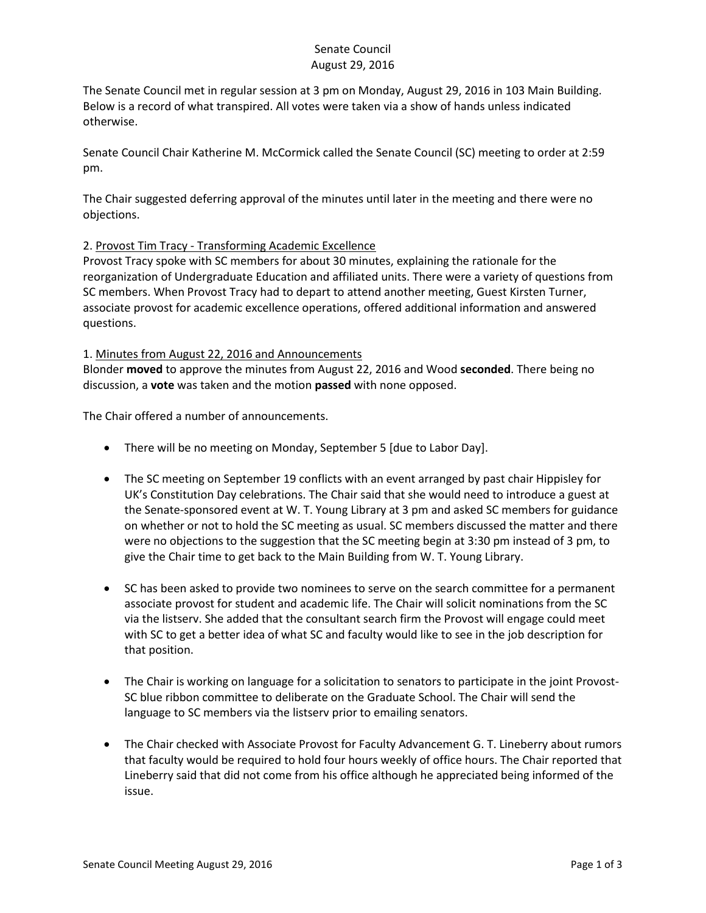## Senate Council August 29, 2016

The Senate Council met in regular session at 3 pm on Monday, August 29, 2016 in 103 Main Building. Below is a record of what transpired. All votes were taken via a show of hands unless indicated otherwise.

Senate Council Chair Katherine M. McCormick called the Senate Council (SC) meeting to order at 2:59 pm.

The Chair suggested deferring approval of the minutes until later in the meeting and there were no objections.

# 2. Provost Tim Tracy - Transforming Academic Excellence

Provost Tracy spoke with SC members for about 30 minutes, explaining the rationale for the reorganization of Undergraduate Education and affiliated units. There were a variety of questions from SC members. When Provost Tracy had to depart to attend another meeting, Guest Kirsten Turner, associate provost for academic excellence operations, offered additional information and answered questions.

#### 1. Minutes from August 22, 2016 and Announcements

Blonder **moved** to approve the minutes from August 22, 2016 and Wood **seconded**. There being no discussion, a **vote** was taken and the motion **passed** with none opposed.

The Chair offered a number of announcements.

- There will be no meeting on Monday, September 5 [due to Labor Day].
- The SC meeting on September 19 conflicts with an event arranged by past chair Hippisley for UK's Constitution Day celebrations. The Chair said that she would need to introduce a guest at the Senate-sponsored event at W. T. Young Library at 3 pm and asked SC members for guidance on whether or not to hold the SC meeting as usual. SC members discussed the matter and there were no objections to the suggestion that the SC meeting begin at 3:30 pm instead of 3 pm, to give the Chair time to get back to the Main Building from W. T. Young Library.
- SC has been asked to provide two nominees to serve on the search committee for a permanent associate provost for student and academic life. The Chair will solicit nominations from the SC via the listserv. She added that the consultant search firm the Provost will engage could meet with SC to get a better idea of what SC and faculty would like to see in the job description for that position.
- The Chair is working on language for a solicitation to senators to participate in the joint Provost-SC blue ribbon committee to deliberate on the Graduate School. The Chair will send the language to SC members via the listserv prior to emailing senators.
- The Chair checked with Associate Provost for Faculty Advancement G. T. Lineberry about rumors that faculty would be required to hold four hours weekly of office hours. The Chair reported that Lineberry said that did not come from his office although he appreciated being informed of the issue.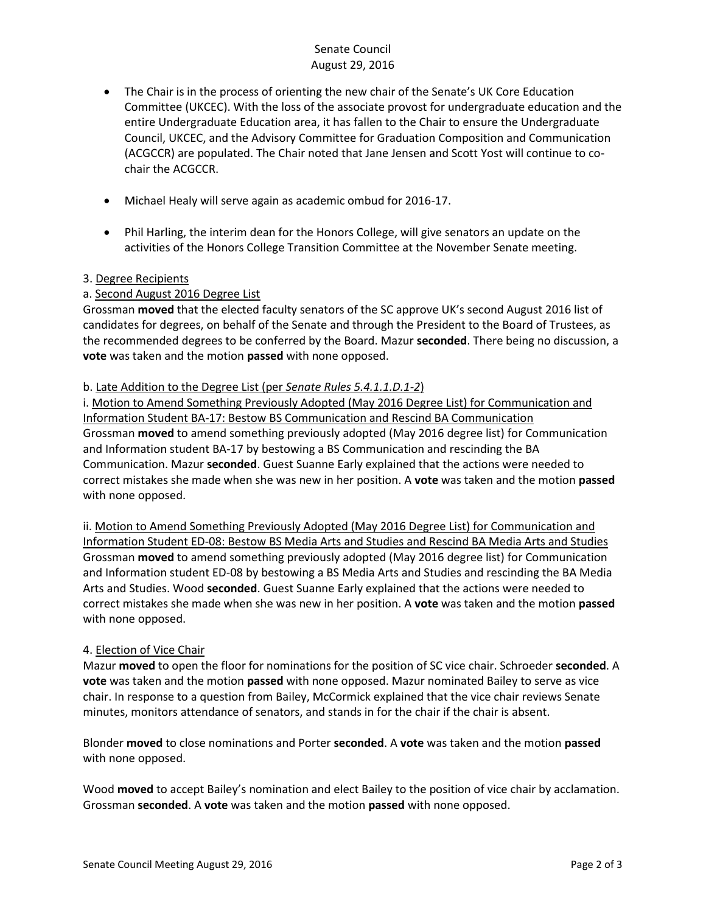# Senate Council August 29, 2016

- The Chair is in the process of orienting the new chair of the Senate's UK Core Education Committee (UKCEC). With the loss of the associate provost for undergraduate education and the entire Undergraduate Education area, it has fallen to the Chair to ensure the Undergraduate Council, UKCEC, and the Advisory Committee for Graduation Composition and Communication (ACGCCR) are populated. The Chair noted that Jane Jensen and Scott Yost will continue to cochair the ACGCCR.
- Michael Healy will serve again as academic ombud for 2016-17.
- Phil Harling, the interim dean for the Honors College, will give senators an update on the activities of the Honors College Transition Committee at the November Senate meeting.

#### 3. Degree Recipients

# a. Second August 2016 Degree List

Grossman **moved** that the elected faculty senators of the SC approve UK's second August 2016 list of candidates for degrees, on behalf of the Senate and through the President to the Board of Trustees, as the recommended degrees to be conferred by the Board. Mazur **seconded**. There being no discussion, a **vote** was taken and the motion **passed** with none opposed.

#### b. Late Addition to the Degree List (per *Senate Rules 5.4.1.1.D.1-2*)

i. Motion to Amend Something Previously Adopted (May 2016 Degree List) for Communication and Information Student BA-17: Bestow BS Communication and Rescind BA Communication Grossman **moved** to amend something previously adopted (May 2016 degree list) for Communication and Information student BA-17 by bestowing a BS Communication and rescinding the BA Communication. Mazur **seconded**. Guest Suanne Early explained that the actions were needed to correct mistakes she made when she was new in her position. A **vote** was taken and the motion **passed** with none opposed.

ii. Motion to Amend Something Previously Adopted (May 2016 Degree List) for Communication and Information Student ED-08: Bestow BS Media Arts and Studies and Rescind BA Media Arts and Studies Grossman **moved** to amend something previously adopted (May 2016 degree list) for Communication and Information student ED-08 by bestowing a BS Media Arts and Studies and rescinding the BA Media Arts and Studies. Wood **seconded**. Guest Suanne Early explained that the actions were needed to correct mistakes she made when she was new in her position. A **vote** was taken and the motion **passed** with none opposed.

#### 4. Election of Vice Chair

Mazur **moved** to open the floor for nominations for the position of SC vice chair. Schroeder **seconded**. A **vote** was taken and the motion **passed** with none opposed. Mazur nominated Bailey to serve as vice chair. In response to a question from Bailey, McCormick explained that the vice chair reviews Senate minutes, monitors attendance of senators, and stands in for the chair if the chair is absent.

Blonder **moved** to close nominations and Porter **seconded**. A **vote** was taken and the motion **passed** with none opposed.

Wood **moved** to accept Bailey's nomination and elect Bailey to the position of vice chair by acclamation. Grossman **seconded**. A **vote** was taken and the motion **passed** with none opposed.